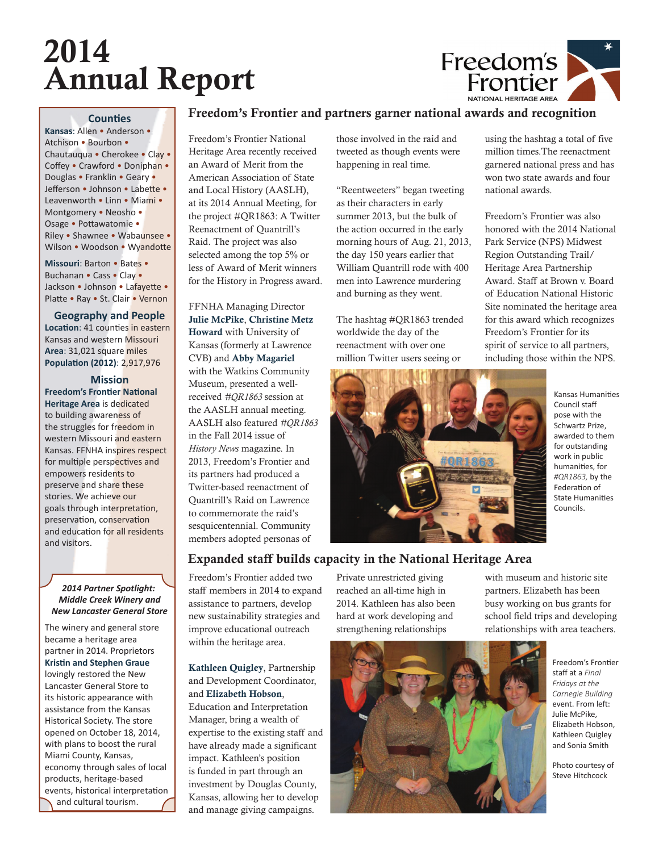# 2014 Annual Report



## **Counties**

**Kansas**: Allen • Anderson • Atchison • Bourbon • Chautauqua • Cherokee • Clay • Coffey • Crawford • Doniphan • Douglas • Franklin • Geary • Jefferson • Johnson • Labette • Leavenworth • Linn • Miami • Montgomery • Neosho • Osage • Pottawatomie • Riley • Shawnee • Wabaunsee • Wilson • Woodson • Wyandotte

**Missouri**: Barton • Bates • Buchanan • Cass • Clay • Jackson • Johnson • Lafayette • Platte • Ray • St. Clair • Vernon

**Geography and People Location**: 41 counties in eastern Kansas and western Missouri **Area**: 31,021 square miles **Population (2012): 2,917,976** 

## **Mission**

**Freedom's Frontier National Heritage Area** is dedicated to building awareness of the struggles for freedom in western Missouri and eastern Kansas. FFNHA inspires respect for multiple perspectives and empowers residents to preserve and share these stories. We achieve our goals through interpretation, preservation, conservation and education for all residents and visitors.

### *2014 Partner Spotlight: Middle Creek Winery and New Lancaster General Store*

The winery and general store became a heritage area partner in 2014. Proprietors **Kristin and Stephen Graue** lovingly restored the New Lancaster General Store to its historic appearance with assistance from the Kansas Historical Society. The store opened on October 18, 2014, with plans to boost the rural Miami County, Kansas, economy through sales of local products, heritage-based

events, historical interpretation and cultural tourism.

# Freedom's Frontier and partners garner national awards and recognition

Freedom's Frontier National Heritage Area recently received an Award of Merit from the American Association of State and Local History (AASLH), at its 2014 Annual Meeting, for the project #QR1863: A Twitter Reenactment of Quantrill's Raid. The project was also selected among the top 5% or less of Award of Merit winners for the History in Progress award.

FFNHA Managing Director Julie McPike, Christine Metz Howard with University of Kansas (formerly at Lawrence CVB) and Abby Magariel with the Watkins Community Museum, presented a wellreceived *#QR1863* session at the AASLH annual meeting. AASLH also featured *#QR1863* in the Fall 2014 issue of *History News* magazine. In 2013, Freedom's Frontier and its partners had produced a Twitter-based reenactment of Quantrill's Raid on Lawrence to commemorate the raid's sesquicentennial. Community members adopted personas of

those involved in the raid and tweeted as though events were happening in real time.

"Reentweeters" began tweeting as their characters in early summer 2013, but the bulk of the action occurred in the early morning hours of Aug. 21, 2013, the day 150 years earlier that William Quantrill rode with 400 men into Lawrence murdering and burning as they went.

The hashtag #QR1863 trended worldwide the day of the reenactment with over one million Twitter users seeing or



using the hashtag a total of five million times.The reenactment garnered national press and has won two state awards and four national awards.

Freedom's Frontier was also honored with the 2014 National Park Service (NPS) Midwest Region Outstanding Trail/ Heritage Area Partnership Award. Staff at Brown v. Board of Education National Historic Site nominated the heritage area for this award which recognizes Freedom's Frontier for its spirit of service to all partners, including those within the NPS.

Kansas Humanities Council staff pose with the Schwartz Prize, awarded to them for outstanding work in public humanities, for *#QR1863,* by the Federation of **State Humanities** Councils.

# Expanded staff builds capacity in the National Heritage Area

Freedom's Frontier added two staff members in 2014 to expand assistance to partners, develop new sustainability strategies and improve educational outreach within the heritage area.

Kathleen Quigley, Partnership and Development Coordinator, and Elizabeth Hobson, Education and Interpretation Manager, bring a wealth of expertise to the existing staff and have already made a significant impact. Kathleen's position is funded in part through an investment by Douglas County, Kansas, allowing her to develop and manage giving campaigns.

Private unrestricted giving reached an all-time high in 2014. Kathleen has also been hard at work developing and strengthening relationships

with museum and historic site partners. Elizabeth has been busy working on bus grants for school field trips and developing relationships with area teachers.



Freedom's Frontier staff at a *Final Fridays at the Carnegie Building*  event. From left: Julie McPike, Elizabeth Hobson, Kathleen Quigley and Sonia Smith

Photo courtesy of Steve Hitchcock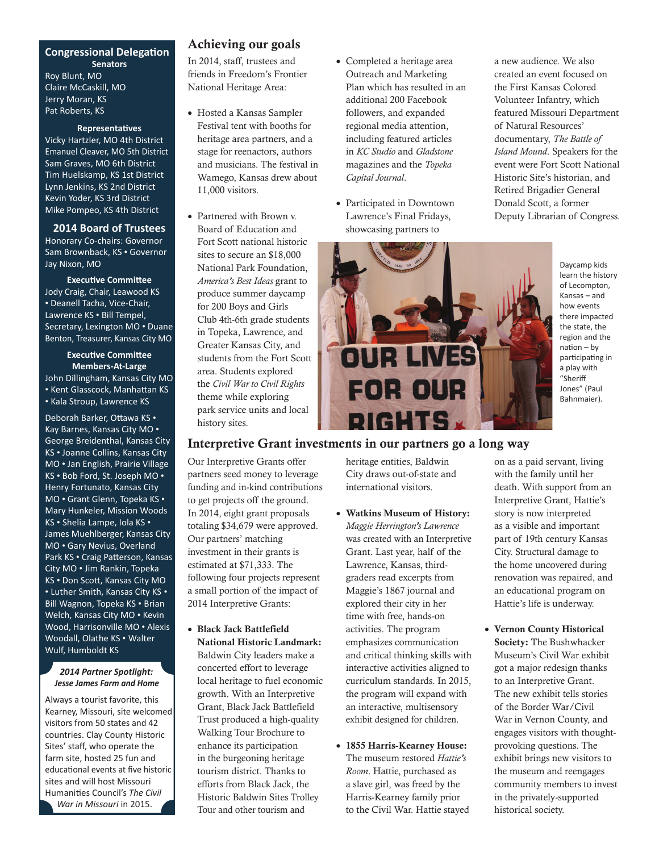## **Congressional Delegation Senators** Roy Blunt, MO Claire McCaskill, MO Jerry Moran, KS Pat Roberts, KS

#### **Representatives**

Vicky Hartzler, MO 4th District Emanuel Cleaver, MO 5th District Sam Graves, MO 6th District Tim Huelskamp, KS 1st District Lynn Jenkins, KS 2nd District Kevin Yoder, KS 3rd District Mike Pompeo, KS 4th District

**2014 Board of Trustees** Honorary Co-chairs: Governor Sam Brownback, KS • Governor Jay Nixon, MO

**Executive Committee** Jody Craig, Chair, Leawood KS • Deanell Tacha, Vice-Chair, Lawrence KS • Bill Tempel, Secretary, Lexington MO • Duane Benton, Treasurer, Kansas City MO

**Executive Committee Members-At-Large** John Dillingham, Kansas City MO • Kent Glasscock, Manhattan KS • Kala Stroup, Lawrence KS

Deborah Barker, Ottawa KS • Kay Barnes, Kansas City MO • George Breidenthal, Kansas City KS • Joanne Collins, Kansas City MO • Jan English, Prairie Village KS • Bob Ford, St. Joseph MO • Henry Fortunato, Kansas City MO • Grant Glenn, Topeka KS • Mary Hunkeler, Mission Woods KS • Shelia Lampe, Iola KS • James Muehlberger, Kansas City MO • Gary Nevius, Overland Park KS • Craig Patterson, Kansas City MO • Jim Rankin, Topeka KS • Don Scott, Kansas City MO • Luther Smith, Kansas City KS • Bill Wagnon, Topeka KS • Brian Welch, Kansas City MO • Kevin Wood, Harrisonville MO • Alexis Woodall, Olathe KS • Walter Wulf, Humboldt KS

#### *2014 Partner Spotlight: Jesse James Farm and Home*

Always a tourist favorite, this Kearney, Missouri, site welcomed visitors from 50 states and 42 countries. Clay County Historic Sites' staff, who operate the farm site, hosted 25 fun and educational events at five historic sites and will host Missouri **Humanities Council's The Civil** *War in Missouri* in 2015.

## Achieving our goals

In 2014, staff, trustees and friends in Freedom's Frontier National Heritage Area:

- Hosted a Kansas Sampler Festival tent with booths for heritage area partners, and a stage for reenactors, authors and musicians. The festival in Wamego, Kansas drew about 11,000 visitors.
- Partnered with Brown v. Board of Education and Fort Scott national historic sites to secure an \$18,000 National Park Foundation, *America's Best Ideas* grant to produce summer daycamp for 200 Boys and Girls Club 4th-6th grade students in Topeka, Lawrence, and Greater Kansas City, and students from the Fort Scott area. Students explored the *Civil War to Civil Rights* theme while exploring park service units and local history sites.
- Completed a heritage area Outreach and Marketing Plan which has resulted in an additional 200 Facebook followers, and expanded regional media attention, including featured articles in *KC Studio* and *Gladstone*  magazines and the *Topeka Capital Journal*.
- Participated in Downtown Lawrence's Final Fridays, showcasing partners to

a new audience. We also created an event focused on the First Kansas Colored Volunteer Infantry, which featured Missouri Department of Natural Resources' documentary, *The Battle of Island Mound*. Speakers for the event were Fort Scott National Historic Site's historian, and Retired Brigadier General Donald Scott, a former Deputy Librarian of Congress.



Daycamp kids learn the history of Lecompton, Kansas – and how events there impacted the state, the region and the  $nation - bv$ participating in a play with "Sheriff Jones" (Paul Bahnmaier).

## Interpretive Grant investments in our partners go a long way

Our Interpretive Grants offer partners seed money to leverage funding and in-kind contributions to get projects off the ground. In 2014, eight grant proposals totaling \$34,679 were approved. Our partners' matching investment in their grants is estimated at \$71,333. The following four projects represent a small portion of the impact of 2014 Interpretive Grants:

• Black Jack Battlefield National Historic Landmark: Baldwin City leaders make a concerted effort to leverage local heritage to fuel economic growth. With an Interpretive Grant, Black Jack Battlefield Trust produced a high-quality Walking Tour Brochure to enhance its participation in the burgeoning heritage tourism district. Thanks to efforts from Black Jack, the Historic Baldwin Sites Trolley Tour and other tourism and

heritage entities, Baldwin City draws out-of-state and international visitors.

- Watkins Museum of History: *Maggie Herrington's Lawrence* was created with an Interpretive Grant. Last year, half of the Lawrence, Kansas, thirdgraders read excerpts from Maggie's 1867 journal and explored their city in her time with free, hands-on activities. The program emphasizes communication and critical thinking skills with interactive activities aligned to curriculum standards. In 2015, the program will expand with an interactive, multisensory exhibit designed for children.
- 1855 Harris-Kearney House: The museum restored *Hattie's Room*. Hattie, purchased as a slave girl, was freed by the Harris-Kearney family prior to the Civil War. Hattie stayed

on as a paid servant, living with the family until her death. With support from an Interpretive Grant, Hattie's story is now interpreted as a visible and important part of 19th century Kansas City. Structural damage to the home uncovered during renovation was repaired, and an educational program on Hattie's life is underway.

• Vernon County Historical Society: The Bushwhacker Museum's Civil War exhibit got a major redesign thanks to an Interpretive Grant. The new exhibit tells stories of the Border War/Civil War in Vernon County, and engages visitors with thoughtprovoking questions. The exhibit brings new visitors to the museum and reengages community members to invest in the privately-supported historical society.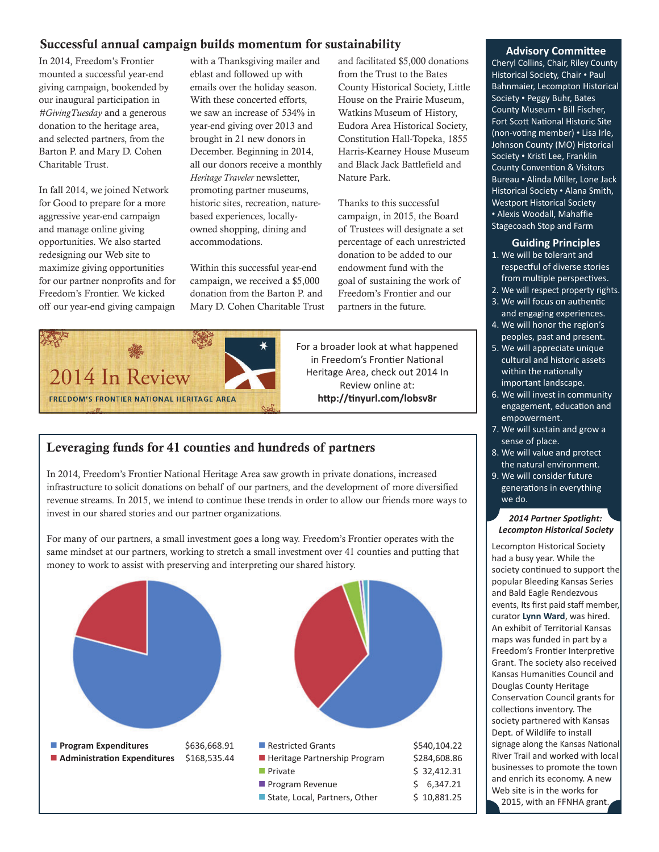## Successful annual campaign builds momentum for sustainability

In 2014, Freedom's Frontier mounted a successful year-end giving campaign, bookended by our inaugural participation in *#GivingTuesday* and a generous donation to the heritage area, and selected partners, from the Barton P. and Mary D. Cohen Charitable Trust.

In fall 2014, we joined Network for Good to prepare for a more aggressive year-end campaign and manage online giving opportunities. We also started redesigning our Web site to maximize giving opportunities for our partner nonprofits and for Freedom's Frontier. We kicked off our year-end giving campaign

with a Thanksgiving mailer and eblast and followed up with emails over the holiday season. With these concerted efforts, we saw an increase of 534% in year-end giving over 2013 and brought in 21 new donors in December. Beginning in 2014, all our donors receive a monthly *Heritage Traveler* newsletter, promoting partner museums, historic sites, recreation, naturebased experiences, locallyowned shopping, dining and accommodations.

Within this successful year-end campaign, we received a \$5,000 donation from the Barton P. and Mary D. Cohen Charitable Trust and facilitated \$5,000 donations from the Trust to the Bates County Historical Society, Little House on the Prairie Museum, Watkins Museum of History, Eudora Area Historical Society, Constitution Hall-Topeka, 1855 Harris-Kearney House Museum and Black Jack Battlefield and Nature Park.

Thanks to this successful campaign, in 2015, the Board of Trustees will designate a set percentage of each unrestricted donation to be added to our endowment fund with the goal of sustaining the work of Freedom's Frontier and our partners in the future.



For a broader look at what happened in Freedom's Frontier National Heritage Area, check out 2014 In Review online at: http://tinyurl.com/lobsv8r

## Leveraging funds for 41 counties and hundreds of partners

In 2014, Freedom's Frontier National Heritage Area saw growth in private donations, increased infrastructure to solicit donations on behalf of our partners, and the development of more diversified revenue streams. In 2015, we intend to continue these trends in order to allow our friends more ways to invest in our shared stories and our partner organizations.

For many of our partners, a small investment goes a long way. Freedom's Frontier operates with the same mindset at our partners, working to stretch a small investment over 41 counties and putting that money to work to assist with preserving and interpreting our shared history.



#### **Advisory Committee**

Cheryl Collins, Chair, Riley County Historical Society, Chair • Paul Bahnmaier, Lecompton Historical Society • Peggy Buhr, Bates County Museum • Bill Fischer, Fort Scott National Historic Site (non-voting member) • Lisa Irle, Johnson County (MO) Historical Society • Kristi Lee, Franklin County Convention & Visitors Bureau • Alinda Miller, Lone Jack Historical Society • Alana Smith, Westport Historical Society • Alexis Woodall, Mahaffie Stagecoach Stop and Farm

#### **Guiding Principles**

- 1. We will be tolerant and respectful of diverse stories from multiple perspectives.
- 2. We will respect property rights.
- 3. We will focus on authentic and engaging experiences.
- 4. We will honor the region's peoples, past and present.
- 5. We will appreciate unique cultural and historic assets within the nationally important landscape.
- 6. We will invest in community engagement, education and empowerment.
- 7. We will sustain and grow a sense of place.
- 8. We will value and protect the natural environment.
- 9. We will consider future generations in everything we do.

#### *2014 Partner Spotlight: Lecompton Historical Society*

Lecompton Historical Society had a busy year. While the society continued to support the popular Bleeding Kansas Series and Bald Eagle Rendezvous events, Its first paid staff member, curator **Lynn Ward**, was hired. An exhibit of Territorial Kansas maps was funded in part by a Freedom's Frontier Interpretive Grant. The society also received Kansas Humanities Council and Douglas County Heritage Conservation Council grants for collections inventory. The society partnered with Kansas Dept. of Wildlife to install signage along the Kansas National River Trail and worked with local businesses to promote the town and enrich its economy. A new Web site is in the works for 2015, with an FFNHA grant.